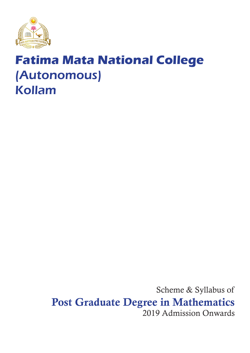

# **Fatima Mata National College** (Autonomous) Kollam

Scheme & Syllabus of Post Graduate Degree in Mathematics 2019 Admission Onwards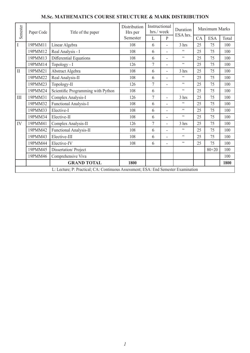| Semester                                                                           | Paper Code | Title of the paper                 | Distribution<br>Hrs per | Instructional<br>hrs./week |                          | Duration        | Maximum Marks |            |       |
|------------------------------------------------------------------------------------|------------|------------------------------------|-------------------------|----------------------------|--------------------------|-----------------|---------------|------------|-------|
|                                                                                    |            |                                    | Semester                | L                          | $\mathsf{P}$             | ESA hrs.        | CA            | <b>ESA</b> | Total |
| $\mathbf I$                                                                        | 19PMM11    | Linear Algebra                     | 108                     | 6                          |                          | 3 hrs           | 25            | 75         | 100   |
|                                                                                    | 19PMM12    | Real Analysis - I                  | 108                     | 6                          | $\overline{\phantom{0}}$ | $\zeta$ $\zeta$ | 25            | 75         | 100   |
|                                                                                    | 19PMM13    | Differential Equations             | 108                     | 6                          |                          | $\zeta$ $\zeta$ | 25            | 75         | 100   |
|                                                                                    | 19PMM14    | Topology - I                       | 126                     | 7                          | ۰                        | $\zeta$ $\zeta$ | 25            | 75         | 100   |
| $\mathbf{I}$                                                                       | 19PMM21    | Abstract Algebra                   | 108                     | 6                          | $\overline{\phantom{0}}$ | 3 hrs           | 25            | 75         | 100   |
|                                                                                    | 19PMM22    | Real Analysis-II                   | 108                     | 6                          | $\overline{\phantom{0}}$ | $\zeta$ $\zeta$ | 25            | 75         | 100   |
|                                                                                    | 19PMM23    | Topology-II                        | 126                     | $\overline{7}$             | $\overline{\phantom{0}}$ | $\zeta$ $\zeta$ | 25            | 75         | 100   |
|                                                                                    | 19PMM24    | Scientific Programming with Python | 108                     | 6                          |                          | $\zeta$ $\zeta$ | 25            | 75         | 100   |
| $\rm III$                                                                          | 19PMM31    | Complex Analysis-I                 | 126                     | 7                          | $\overline{\phantom{0}}$ | 3 hrs           | 25            | 75         | 100   |
|                                                                                    | 19PMM32    | Functional Analysis-I              | 108                     | 6                          | ۰                        | $\zeta$ $\zeta$ | 25            | 75         | 100   |
|                                                                                    | 19PMM33    | Elective-I                         | 108                     | 6                          |                          | $\zeta$ $\zeta$ | 25            | 75         | 100   |
|                                                                                    | 19PMM34    | Elective-II                        | 108                     | 6                          |                          | $\zeta$ $\zeta$ | 25            | 75         | 100   |
| IV                                                                                 | 19PMM41    | Complex Analysis-II                | 126                     | $\overline{7}$             | ٠                        | 3 hrs           | 25            | 75         | 100   |
|                                                                                    | 19PMM42    | Functional Analysis-II             | 108                     | 6                          |                          | $\zeta$ $\zeta$ | 25            | 75         | 100   |
|                                                                                    | 19PMM43    | Elective-III                       | 108                     | 6                          | $\overline{\phantom{0}}$ | $\zeta$ $\zeta$ | 25            | 75         | 100   |
|                                                                                    | 19PMM44    | Elective-IV                        | 108                     | 6                          |                          | $\zeta$ $\zeta$ | 25            | 75         | 100   |
|                                                                                    | 19PMM45    | Dissertation/Project               |                         |                            |                          |                 |               | $80 + 20$  | 100   |
|                                                                                    | 19PMM46    | Comprehensive Viva                 |                         |                            |                          |                 |               |            | 100   |
|                                                                                    |            | <b>GRAND TOTAL</b>                 | 1800                    |                            |                          |                 |               |            | 1800  |
| L: Lecture; P: Practical; CA: Continuous Assessment; ESA: End Semester Examination |            |                                    |                         |                            |                          |                 |               |            |       |

# **M.Sc. MATHEMATICS COURSE STRUCTURE & MARK DISTRIBUTION**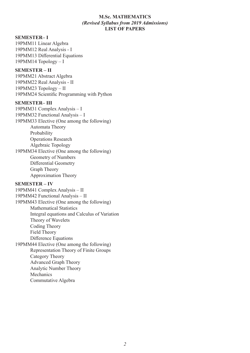### **M.Sc. MATHEMATICS** *(Revised Syllabus from 2019 Admissions)* **LIST OF PAPERS**

#### **SEMESTER– I**

19PMM11 Linear Algebra 19PMM12 Real Analysis - I 19PMM13 Differential Equations 19PMM14 Topology – I

### **SEMESTER – II**

19PMM21 Abstract Algebra 19PMM22 Real Analysis - II 19PMM23 Topology – II 19PMM24 Scientific Programming with Python

#### **SEMESTER– III**

19PMM31 Complex Analysis – I 19PMM32 Functional Analysis – I 19PMM33 Elective (One among the following) Automata Theory Probability Operations Research Algebraic Topology 19PMM34 Elective (One among the following) Geometry of Numbers Differential Geometry Graph Theory Approximation Theory

### **SEMESTER – IV**

19PMM41 Complex Analysis – II 19PMM42 Functional Analysis – II 19PMM43 Elective (One among the following) Mathematical Statistics Integral equations and Calculus of Variation Theory of Wavelets Coding Theory Field Theory Difference Equations 19PMM44 Elective (One among the following) Representation Theory of Finite Groups Category Theory Advanced Graph Theory Analytic Number Theory **Mechanics** Commutative Algebra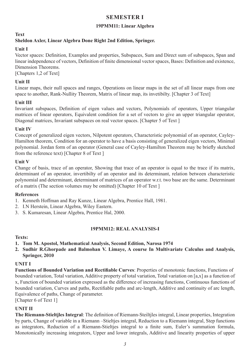# **SEMESTER I**

# **19PMM11: Linear Algebra**

# **Text**

# **Sheldon Axler, Linear Algebra Done Right 2nd Edition, Springer.**

# **Unit I**

Vector spaces: Definition, Examples and properties, Subspaces, Sum and Direct sum of subspaces, Span and linear independence of vectors, Definition of finite dimensional vector spaces, Bases: Definition and existence, Dimension Theorems.

[Chapters 1,2 of Text]

# **Unit II**

Linear maps, their null spaces and ranges, Operations on linear maps in the set of all linear maps from one space to another, Rank-Nullity Theorem, Matrix of linear map, its invetibilty. [Chapter 3 of Text]

# **Unit III**

Invariant subspaces, Definition of eigen values and vectors, Polynomials of operators, Upper triangular matrices of linear operators, Equivalent condition for a set of vectors to give an upper triangular operator, Diagonal matrices, Invariant subspaces on real vector spaces. [Chapter 5 of Text]

# **Unit IV**

Concept of generalized eigen vectors, Nilpotent operators, Characteristic polynomial of an operator, Cayley-Hamilton theorem, Condition for an operator to have a basis consisting of generalized eigen vectors, Minimal polynomial. Jordan form of an operator (General case of Cayley-Hamilton Theorem may be briefly sketched from the reference text) [Chapter 8 of Text ]

### **Unit V**

Change of basis, trace of an operator, Showing that trace of an operator is equal to the trace if its matrix, determinant of an operator, invertibilty of an operator and its determinant, relation between characteristic polynomial and determinant, determinant of matrices of an operator w.r.t. two base are the same. Determinant of a matrix (The section volumes may be omitted) [Chapter 10 of Text ]

### **References**

- 1. Kenneth Hoffman and Ray Kunze, Linear Algebra, Prentice Hall, 1981.
- 2. I.N Herstein, Linear Algebra, Wiley Eastern.
- 3. S. Kumaresan, Linear Algebra, Prentice Hal, 2000.

### **19PMM12: REAL ANALYSIS-I**

### **Texts:**

- **1. Tom M. Apostol, Mathematical Analysis, Second Edition, Narosa 1974**
- **2. Sudhir R.Ghorpade and Balmohan V. Limaye, A course In Multivariate Calculus and Analysis, Springer, 2010**

### **UNIT I**

**Functions of Bounded Variation and Rectifiable Curves**: Properties of monotonic functions, Functions of bounded variation, Total variation, Additive property of total variation, Total variation on [a,x] as a function of x, Function of bounded variation expressed as the difference of increasing functions, Continuous functions of bounded variation, Curves and paths, Rectifiable paths and arc-length, Additive and continuity of arc length, Equivalence of paths, Change of parameter.

[Chapter 6 of Text 1]

# **UNIT II**

**The Riemann-Stieltjles Integral**: The definition of Riemann-Steiltjles integral, Linear properties, Integration by parts, Change of variable in a Riemann –Stieltjes integral, Reduction to a Riemann integral, Step functions as integrators, Reduction of a Riemann-Stieltjes integral to a finite sum, Euler's summation formula, Monotonically increasing integrators, Upper and lower integrals, Additive and linearity properties of upper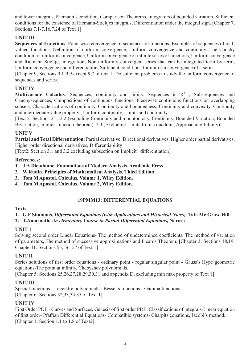and lower integrals, Riemann's condition, Comparison Theorems, Integrators of bounded variation, Sufficient conditions for the existence of Riemann-Stieltjes integrals, Differentiation under the integral sign. [Chapter 7, Sections 7.1-7.16,7.24 of Text 1]

# **UNIT III**

**Sequences of Functions**: Point-wise convergence of sequences of functions, Examples of sequences of realvalued functions, Definition of uniform convergence, Uniform convergence and continuity. The Cauchy condition for uniform convergence, Uniform convergence of infinite series of functions, Uniform convergence and Riemann-Stieltjes integration, Non-uniformly convergent series that can be integrated term by term, Uniform convergence and differentiation, Sufficient conditions for uniform convergence of a series.

[Chapter 9, Sections 9.1-9.9 except 9.7 of text 1. Do suficient problems to study the uniform convergence of sequences and series]

# **UNIT IV**

**Multivariate Calculus:** Sequences, continuity and limits. Sequences in  $\mathbb{R}^2$ , Sub-sequences and Cauchysequences, Compositions of continuous functions, Piecewise continuous functions on overlapping subsets, Characterizations of continuity, Continuity and boundedness, Continuity and convexity, Continuity and intermediate value property , Uniform continuity, Limits and continuity.

[Text 2. Sections 2.1, 2.2 (excluding Continuity and monotonicity, Continuity, Bounded Variation, Bounded Bivariation, implicit function theorem), 2.3 (Excluding Limits from a quadrant, Approaching Infinity)

# **UNIT V**

**Partial and Total Differentiation**: Partial derivative, Directional derivatives, Higher order partial derivatives, Higher order directional derivatives, Differentiability

[Text2. Section 3.1 and 3.2 excluding subsection on Implicit differentiation]

# **References:**

- **1. J.A Dieudonne, Foundations of Modern Analysis, Academic Press**
- **2. W.Rudin, Principles of Mathematical Analysis, Third Edition**
- **3. Tom M Apostol, Calculus, Volume 1, Wiley Edition.**
- **4. Tom M Apostol, Calculus, Volume 2, Wiley Edition.**

# **19PMM13: DIFFERENTIAL EQUATIONS**

# **Texts**

#### **1. G.F Simmons,** *Differential Equations (with Applications and Historical Notes),* **Tata Mc Graw-Hill 2. T.Amarnath,** *An elementary Course in Partial Differential Equations,* **Narosa**

# **UNIT 1**

Solving second order Linear Equations- The method of undetermined coefficients, The method of variation of parameters, The method of successive approximations and Picards Theorem. [Chapter 3: Sections 18,19; Chapter11: Sections 55, 56, 57 of Text 1]

# **UNIT II**

Series solutions of first order equations - ordinary point - regular singular point - Gauss's Hype geometric equations-The point at infinity, Chebyshev polynomials.

[Chapter 5: Sections 25, 26, 27, 28, 29, 30, 31 and appendix D, excluding min max property of Text 1]

# **UNIT III**

Special functions - Legendre polynomials - Bessel's functions - Gamma functions. [Chapter 6: Sections 32, 33, 34, 35 of Text 1]

# **UNIT IV**

First Order PDE - Curves and Surfaces, Genesis of first order PDE, Classifications of integrals-Linear equation of first order- Pfaffian Differential Equations- Compatible systems- Charpits equations, Jacobi's method. [Chapter 1: Section 1.1 to 1.8 of Text2]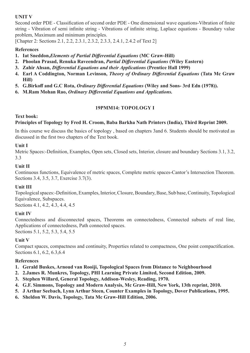# **UNIT V**

Second order PDE - Classification of second order PDE - One dimensional wave equations-Vibration of finite string - Vibration of semi infinite string - Vibrations of infinite string, Laplace equations - Boundary value problem, Maximum and minimum principles.

[Chapter 2: Sections 2.1, 2.2, 2.3.1, 2.3.2, 2.3.3, 2.4.1, 2.4.2 of Text 2]

# **References**

- **1. Iat Sneddon,***Elements of Partial Differential Equations* **(MC Graw-Hill)**
- **2. Phoolan Prasad, Renuka Raveendran,** *Partial Differential Equations* **(Wiley Eastern)**
- **3. Zahir Ahsan,** *Differential Equations and their Applications* **(Prentice Hall 1999)**
- **4. Earl A Coddington, Norman Levinson,** *Theory of Ordinary Differential Equations* **(Tata Mc Graw Hill)**
- **5. G.Birkoff and G.C Rota,** *Ordinary Differential Equations* **(Wiley and Sons- 3rd Edn (1978)).**
- **6. M.Ram Mohan Rao,** *Ordinary Differential Equations and Applications.*

# **19PMM14: TOPOLOGY I**

### **Text book:**

### **Principles of Topology by Fred H. Croom, Baba Barkha Nath Printers (India), Third Reprint 2009.**

In this course we discuss the basics of topology , based on chapters 3and 6. Students should be motivated as discussed in the first two chapters of the Text book.

### **Unit I**

Metric Spaces:-Definition, Examples, Open sets, Closed sets, Interior, closure and boundary Sections 3.1, 3.2, 3.3

### **Unit II**

Continuous functions, Equivalence of metric spaces, Complete metric spaces-Cantor's Intersection Theorem. Sections 3.4, 3.5, 3.7, Exercise 3.7(3).

### **Unit III**

Topological spaces:-Definition, Examples, Interior, Closure, Boundary, Base, Sub base, Continuity, Topological Equivalence, Subspaces.

Sections 4.1, 4.2, 4.3, 4.4, 4.5

# **Unit IV**

Connectedness and disconnected spaces, Theorems on connectedness, Connected subsets of real line, Applications of connectedness, Path connected spaces. Sections 5.1, 5.2, 5.3, 5.4, 5.5

### **Unit V**

Compact spaces, compactness and continuity, Properties related to compactness, One point compactification. Sections 6.1, 6.2, 6.3,6.4

### **References**

- **1. Gerald Buskes, Arnoud van Rooiji, Topological Spaces from Distance to Neighbourhood**
- **2. 2.James R. Munkres, Topology, PHI Learning Private Limited, Second Edition, 2009.**
- **3. Stephen Willard, General Topology, Addison-Wesley, Reading, 1970.**
- **4. G.F. Simmons, Topology and Modern Analysis, Mc Graw-Hill, New York, 13th reprint, 2010.**
- **5. J Arthur Seebach, Lynn Arthur Steen, Counter Examples in Topology, Dover Publications, 1995.**
- **6. Sheldon W. Davis, Topology, Tata Mc Graw-Hill Edition, 2006.**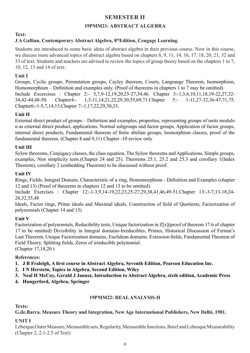# **SEMESTER II**

# **19PMM21: ABSTRACT ALGEBRA**

# **Text:**

# **J A Gallian, Contemporary Abstract Algebra, 8thEdition, Cengage Learning**.

Students are introduced to some basic ideas of abstract algebra in their previous course. Now in this course, we discuss more advanced topics of abstract algebra based on chapters 8, 9, 11, 14, 16, 17, 18, 20, 21, 32 and 33 of text. Students and teachers are advised to review the topics of group theory based on the chapters 1 to 7, 10, 12, 13 and 14 of text.

# **Unit I**

Groups, Cyclic groups, Permutation groups, Cayley theorem, Cosets, Langrange Theorem, Isomorphism, Homomorphism – Definition and examples only. (Proof of theorems in chapters 1 to 7 may be omitted) Include Excercises : Chapter 2:- 5,7,9-12,19,20,25-27,34,46. Chapter 3:-1,3,4,10,11,18,19-22,27,32- 34,42-44,48-50. Chapter4:- 1,3-11,14,21,22,29,30,55,69,71.Chapter 5:- 1-11,27-32,36-47,71,75. Chapter6:-1-5,7,14,15.Chapter 7:-1,17,22,29,30,33.

# **Unit II**

External direct product of groups – Definition and examples, properties, representing groups of units modulo n as external direct product, applications. Normal subgroups and factor groups, Application of factor groups, internal direct products, Fundamental theorem of finite abelian groups, Isomorphism classes, proof of the fundamental theorem. (Chapter 8 and 9,11) Chapter -10 review only

# **Unit III**

Sylow theorems, Conjugacy classes, the class equation, The Sylow theorems and Applications. Simple groups, examples, Non simplicity tests.(Chapter 24 and 25). Theorems 25.1, 25.2 and 25.3 and corollary 1(Index Theorem), corollary 2 (embedding Theorem) to be discussed without proof.

# **Unit IV**

Rings, Fields, Integral Domain, Characteristic of a ring, Homomorphism - Definition and Examples (chapter 12 and 13) (Proof of theorems in chapters 12 and 13 to be omitted).

Include Exercises : Chapter 12:-1-3,9,14-19,22,23,25-27,29,38,41,46,49-51.Chapter 13:-3-7,13-18,24- 26,32,35,48

Ideals, Factor rings, Prime ideals and Maximal ideals, Construction of field of Quotients, Factorization of polynomials (Chapter 14 and 15)

# **Unit V**

Factorization of polynomials, Reducibility tests, Unique factorization in Z[x](proof of theorem 17.6 of chapter 17 to be omitted) Divisibility in Integral domains-Irreducibles, Primes, Historical Discussion of Fermat's Last Theorem, Unique Factorization domains, Euclidean domains. Extension fields, Fundamental Theorem of Field Theory, Splitting fields, Zeros of irreducible polynomial. (Chapter 17,18,20 )

### **References:**

- **1. J B Fraleigh, A first course in Abstract Algebra, Seventh Edition, Pearson Education Inc.**
- **2. I N Herstein, Topics in Algebra, Second Edition, Wiley**
- **3. Neal H McCoy, Gerald J Janusz, Introduction to Abstract Algebra, sixth edition, Academic Press**
- **4. Hungerford, Algebra, Springer**

### **19PMM22: REAL ANALYSIS-II**

**Texts:** 

### **G.de.Barra, Measure Theory and Integration, New Age International Publishers, New Delhi, 1981.**

### **UNIT I**

Lebesgue Outer Measure, Measurable sets, Regularity, Measurable functions, Borel and Lebesque Measurability (Chapter 2, 2.1-2.5 of Text)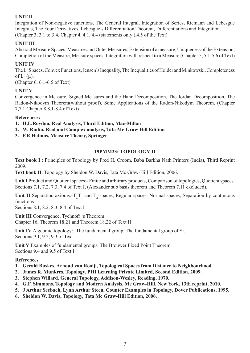# **UNIT II**

Integration of Non-negative functions, The General Integral, Integration of Series, Riemann and Lebesgue Integrals, The Four Derivatives, Lebesgue's Differentiation Theorem, Differentiations and Integration. (Chapter 3, 3.1 to 3.4, Chapter 4, 4.1, 4.4 (statements only ),4.5 of the Text)

# **UNIT III**

Abstract Measure Spaces: Measures and Outer Measures, Extension of a measure, Uniqueness of the Extension, Completion of the Measure, Measure spaces, Integration with respect to a Measure (Chapter 5, 5.1-5.6 of Text)

# **UNIT IV**

The L<sup>p</sup> Spaces, Convex Functions, Jensen's Inequality, The Inequalities of Holder and Minkowski, Completeness of  $L^p(\mu)$ .

(Chapter 6, 6.1-6.5 of Text)

# **UNIT V**

Convergence in Measure, Signed Measures and the Hahn Decomposition, The Jordan Decomposition, The Radon-Nikodym Theorem(without proof), Some Applications of the Radon-Nikodym Theorem. (Chapter 7,7.1 Chapter 8,8.1-8.4 of Text)

# **References:**

- **1. H.L.Roydon, Real Analysis, Third Edition, Mac-Millan**
- **2. W. Rudin, Real and Complex analysis, Tata Mc-Graw Hill Edition**
- **3. P.R Halmos, Measure Theory, Springer**

# **19PMM23: TOPOLOGY II**

**Text book I** : Principles of Topology by Fred H. Croom, Baba Barkha Nath Printers (India), Third Reprint 2009.

**Text book II**: Topology by Sheldon W. Davis, Tata Mc Graw-Hill Edition, 2006.

Unit I Product and Quotient spaces:- Finite and arbitrary products, Comparison of topologies, Quotient spaces. Sections 7.1, 7.2, 7.3, 7.4 of Text I, (Alexander sub basis theorem and Theorem 7.11 excluded).

Unit II Separation axioms: $T_{0}$ , $T_1$  and  $T_2$ -spaces, Regular spaces, Normal spaces, Separation by continuous functions

Sections 8.1, 8.2, 8.3, 8.4 of Text I

**Unit III** Convergence, Tychnoff 's Theorem Chapter 16, Theorem 18.21 and Theorem 18.22 of Text II

Unit IV Algebraic topology:- The fundamental group, The fundamental group of S<sup>1</sup>. Sections 9.1, 9.2, 9.3 of Text I

**Unit V** Examples of fundamental groups, The Brouwer Fixed Point Theorem. Sections 9.4 and 9.5 of Text I

# **References**

- **1. Gerald Buskes, Arnoud van Rooiji, Topological Spaces from Distance to Neighbourhood**
- **2. James R. Munkres, Topology, PHI Learning Private Limited, Second Edition, 2009.**
- **3. Stephen Willard, General Topology, Addison-Wesley, Reading, 1970.**
- **4. G.F. Simmons, Topology and Modern Analysis, Mc Graw-Hill, New York, 13th reprint, 2010.**
- **5. J Arthur Seebach, Lynn Arthur Steen, Counter Examples in Topology, Dover Publications, 1995.**
- **6. Sheldon W. Davis, Topology, Tata Mc Graw-Hill Edition, 2006.**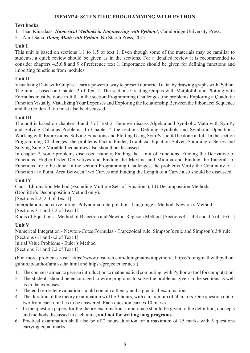# **19PMM24: SCIENTIFIC PROGRAMMING WITH PYTHON**

### **Text books**:

1. Jaan Kiusalaas, *Numerical Methods in Engineering with Python3*, Camdbridge University Press.

2. Amit Saha, *Doing Math with Python*, No Starch Press, 2015.

# **Unit I**

This unit is based on sections 1.1 to 1.5 of text 1. Even though some of the materials may be familiar to students, a quick review should be given as in the sections. For a detailed review it is recommended to consider chapters 4,5,6,8 and 9 of reference text 1. Importance should be given for defining functions and importing functions from modules.

# **Unit II**

Visualizing Data with Graphs - learn a powerful way to present numerical data: by drawing graphs with Python. The unit is based on Chapter 2 of Text 2. The sections Creating Graphs with Matplotlib and Plotting with Formulas must be done in full. In the section Programming Challenges, the problems Exploring a Quadratic Function Visually, Visualizing Your Expenses and Exploring the Relationship Between the Fibonacci Sequence and the Golden Ratio must also be discussed.

# **Unit III**

The unit is based on chapters 4 and 7 of Text 2. Here we discuss Algebra and Symbolic Math with SymPy and Solving Calculus Problems. In Chapter 4 the sections Defining Symbols and Symbolic Operations, Working with Expressions, Solving Equations and Plotting Using SymPy should be done in full. In the section Programming Challenges, the problems Factor Finder, Graphical Equation Solver, Summing a Series and Solving Single-Variable Inequalities also should be discussed.

In chapter 7, some problems discussed namely, Finding the Limit of Functions, Finding the Derivative of Functions, Higher-Order Derivatives and Finding the Maxima and Minima and Finding the Integrals of Functions are to be done. In the section Programming Challenges, the problems Verify the Continuity of a Function at a Point, Area Between Two Curves and Finding the Length of a Curve also should be discussed.

# **Unit IV**

Gauss Elimination Method (excluding Multiple Sets of Equations), LU Decomposition Methods (Doolittle's Decomposition Method only).

[Sections 2.2, 2.3 of Text 1]

Interpolation and curve fitting- Polynomial interpolation- Langrange's Method, Newton's Method.

[Sections 3.1 and 3.2 of Text 1]

Roots of Equations - Method of Bisection and Newton-Raphson Method. [Sections 4.1, 4.3 and 4.5 of Text 1]

# **Unit V**

Numerical Integration - Newton-Cotes Formulas - Trapezoidal rule, Simpson's rule and Simpson's 3/8 rule. [Sections 6.1 and 6.2 of Text 1] Initial Value Problems - Euler's Method

[Sections 7.1 and 7.2 of Text 1]

(For more problems visit https://www.nostarch.com/doingmathwithpython/, https://doingmathwithpython. github.io/author/amit-saha.html and https://projecteuler.net/.)

- 1. The course is aimed to give an introduction to mathematical computing, with Python as tool for computation.
- 2. The students should be encouraged to write programs to solve the problems given in the sections as well as in the exercises.
- 3. The end semester evaluation should contain a theory and a practical examinations.
- 4. The duration of the theory examination will be 3 hours, with a maximum of 50 marks. One question out of two from each unit has to be answered. Each question carries 10 marks.
- 5. In the question papers for the theory examination, importance should be given to the definition, concepts and methods discussed in each units, **and not for writing long programs.**
- 6. Practical examination shall also be of 2 hours duration for a maximum of 25 marks with 5 questions carrying equal marks.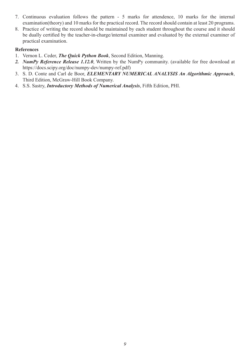- 7. Continuous evaluation follows the pattern 5 marks for attendence, 10 marks for the internal examination(theory) and 10 marks for the practical record. The record should contain at least 20 programs.
- 8. Practice of writing the record should be maintained by each student throughout the course and it should be dually certified by the teacher-in-charge/internal examiner and evaluated by the external examiner of practical examination.

#### **References**

- 1. Vernon L. Ceder, *The Quick Python Book*, Second Edition, Manning.
- *2. NumPy Reference Release 1.12.0*, Written by the NumPy community. (available for free download at https://docs.scipy.org/doc/numpy-dev/numpy-ref.pdf)
- 3. S. D. Conte and Carl de Boor, *ELEMENTARY NUMERICAL ANALYSIS An Algorithmic Approach*, Third Edition, McGraw-Hill Book Company.
- 4. S.S. Sastry, *Introductory Methods of Numerical Analysis*, Fifth Edition, PHI.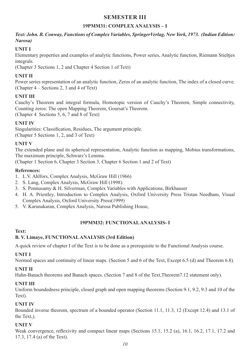# **SEMESTER III**

# **19PMM31: COMPLEX ANALYSIS – I**

# *Text: John. B. Conway, Functions of Complex Variables, SpringerVerlag, New York, 1973. (Indian Edition: Narosa)*

# **UNIT I**

Elementary properties and examples of analytic functions, Power series, Analytic function, Riemann Stieltjes integrals.

(Chapter 3 Sections 1, 2 and Chapter 4 Section 1 of Text)

# **UNIT II**

Power series representation of an analytic function, Zeros of an analytic function, The index of a closed curve. (Chapter 4 – Sections 2, 3 and 4 of Text)

# **UNIT III**

Cauchy's Theorem and integral formula, Homotopic version of Cauchy's Theorem, Simple connectivity, Counting zeros: The open Mapping Theorem, Goursat's Theorem. (Chapter 4 Sections 5, 6, 7 and 8 of Text)

# **UNIT IV**

Singularities: Classification, Residues, The argument principle. (Chapter 5 Sections 1, 2, and 3 of Text)

# **UNIT V**

The extended plane and its spherical representation, Analytic function as mapping, Mobius transformations, The maximum principle, Schwarz's Lemma.

(Chapter 1 Section 6, Chapter 3 Section 3, Chapter 6 Section 1 and 2 of Text)

# **References:**

- 1. L.V. Ahlfors, Complex Analysis, McGraw Hill (1966)
- 2. S. Lang, Complex Analysis, McGraw Hill (1998).
- 3. S. Ponnusamy & H. Silverman, Complex Variables with Applications, Birkhauser
- 4. H. A. Priestley, Introduction to Complex Analysis, Oxford University Press Tristan Needham, Visual Complex Analysis, Oxford University Press(1999)
- 5. V. Karunakaran, Complex Analysis, Narosa Publishing House,

### **19PMM32: FUNCTIONAL ANALYSIS- I**

### **Text:**

# **B. V. Limaye, FUNCTIONAL ANALYSIS (3rd Edition)**

A quick review of chapter I of the Text is to be done as a prerequisite to the Functional Analysis course.

# **UNIT I**

Normed spaces and continuity of linear maps. (Section 5 and 6 of the Text, Except 6.5 (d) and Theorem 6.8).

# **UNIT II**

Hahn-Banach theorems and Banach spaces. (Section 7 and 8 of the Text,Theorem7.12 statement only).

# **UNIT III**

Uniform boundedness principle, closed graph and open mapping theorems (Section 9.1, 9.2, 9.3 and 10 of the Text).

# **UNIT IV**

Bounded inverse theorem, spectrum of a bounded operator (Section 11.1, 11.3, 12 (Except 12.4) and 13.1 of the Text,).

# **UNIT V**

Weak convergence, reflexivity and compact linear maps (Sections 15.1, 15.2 (a), 16.1, 16.2, 17.1, 17.2 and 17.3, 17.4 (a) of the Text).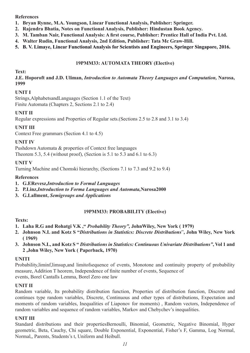## **References**

- **1. Bryan Rynne, M.A. Youngson, Linear Functional Analysis, Publisher: Springer.**
- **2. Rajendra Bhatia, Notes on Functional Analysis, Publisher: Hindustan Book Agency.**
- **3. M. Tamban Nair, Functional Analysis: A first course, Publisher: Prentice Hall of India Pvt. Ltd.**
- **4. Walter Rudin, Functional Analysis, 2nd Edition, Publisher: Tata Mc Graw-Hill.**
- **5. B. V. Limaye, Linear Functional Analysis for Scientists and Engineers, Springer Singapore, 2016.**

# **19PMM33: AUTOMATA THEORY (Elective)**

### **Text:**

**J.E. Hoporoft and J.D. Uliman,** *Introduction to Automata Theory Languages and Computation,* **Narosa, 1999**

### **UNIT I**

Strings,AlphabetsandLanguages (Section 1.1 of the Text) Finite Automata (Chapters 2, Sections 2.1 to 2.4)

# **UNIT II**

Regular expressions and Properties of Regular sets.(Sections 2.5 to 2.8 and 3.1 to 3.4)

# **UNIT III**

Context Free grammars (Section 4.1 to 4.5)

# **UNIT IV**

Pushdown Automata & properties of Context free languages Theorem 5.3, 5.4 (without proof), (Section is 5.1 to 5.3 and 6.1 to 6.3)

# **UNIT V**

Turning Machine and Chomski hierarchy, (Sections 7.1 to 7.3 and 9.2 to 9.4)

### **References**

- **1. G.ERevesz,***Introduction to Formal Languages*
- **2. P.Linz,***Introduction to Forma Languages and Automata,***Narosa2000**
- **3. G.Lallment,** *Semigroups and Applications*

### **19PMM33: PROBABILITY (Elective)**

### **Texts:**

- **1. Laha R.G and Rohatgi V.K ,"** *Probability Theory",* **JohnWiley, New York ( 1979)**
- **2. Johnson N.L and Kotz S "***Distributions in Statistics: Discrete Distributions*"**, John Wiley, New York ( 1969)**
- **3. Johnson N.L, and Kotz S "** *Distributions in Statistics: Continuous Univariate Distributions"***, Vol 1 and 2 ,John Wiley, New York ( Paperback, 1970)**

### **UNITI**

Probability,liminf,limsup,and limitofsequence of events, Monotone and continuity property of probability measure, Addition T heorem, Independence of finite number of events, Sequence of events, Borel Cantalls Lemma, Borel Zero one law

### **UNIT II**

Random variable, Its probability distribution function, Properties of distribution function, Discrete and continues type random variables, Discrete, Continuous and other types of distributions, Expectation and moments of random variables, Inequalities of Liaponov for moments) , Random vectors, Independence of random variables and sequence of random variables, Markov and Chebychev's inequalities.

### **UNIT III**

Standard distributions and their propertiesBernoulli, Binomial, Geometric, Negative Binomial, Hyper geometric, Beta, Cauchy, Chi square, Double Exponential, Exponential, Fisher's F, Gamma, Log Normal, Normal,, Parents, Students's t, Uniform and Heibull.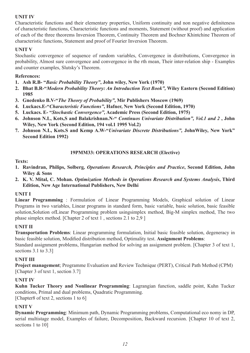# **UNIT IV**

Characteristic functions and their elementary properties, Uniform continuity and non negative definiteness of characteristic functions, Characteristic functions and moments, Statement (without proof) and application of each of the three theorems Inversion Theorem, Continuity Theorem and Bochner Khintchine Theorem of characteristic functions, Statement and proof of Fourier Inversion Theorem.

# **UNIT V**

Stochastic convergence of sequence of random variables, Convergence in distributions, Convergence in probability, Almost sure convergence and convergence in the rth mean, Their inter-relation ship - Examples and counter examples, Slutsky's Theorem.

# **References:**

- **1. Ash R.B- "***Basic Probability Theory"***, John wiley, New York (1970)**
- **2. Bhat B.R-"***Modern Probability Theory: An Introduction Text Book",* **Wiley Eastern (Second Edition) 1985**
- **3. Gnedenko B.V-"***The Theory of Probability"***, Mir Publishers Moscow (1969)**
- **4. Luckacs.E-"***Characteristic Functions"***, Hafner, New York (Second Edition, 1970)**
- **5. Luckacs. E- "***Stochastic Convergence",* **Academic Press (Second Edition, 1975)**
- **6. Johnson N.L, Kots,S and Balakrishnan.N-"** *Continuos Univariate Distribution", Vol.1 and 2* **, John Wiley, New York (Second Edition, 194 vol.1 1995 Vol.2)**
- **7. Johnson N.L, Kots.S and Kemp A.W-"***Univariate Discrete Distributions",* **JohnWiley, New York" Second Edition 1992)**

# **19PMM33: OPERATIONS RESEARCH (Elective)**

### **Texts:**

- **1. Ravindran, Philips, Solberg***, Operations Research, Principles and Practice***, Second Edition, John Wiley & Sons**
- **2. K. V. Mital, C. Mohan.** *Optimization Methods in Operations Research and Systems Analysis***, Third Edition, New Age International Publishers, New Delhi**

### **UNIT I**

**Linear Programming** : Formulation of Linear Programming Models, Graphical solution of Linear Programs in two variables, Linear programs in standard form, basic variable, basic solution, basic feasible solution,Solution ofLinear Programming problem usingsimplex method, Big-M simplex method, The two phase simplex method. [Chapter 2 of text 1 , sections 2.1 to 2,9 ]

### **UNIT II**

**Transportation Problems**: Linear programming formulation, Initial basic feasible solution, degeneracy in basic feasible solution, Modified distribution method, Optimality test. **Assignment Problems**:

Standard assignment problems, Hungarian method for solving an assignment problem. [Chapter 3 of text 1, sections 3.1 to 3.3]

# **UNIT III**

**Project management**; Programme Evaluation and Review Technique (PERT), Critical Path Method (CPM) [Chapter 3 of text 1, section 3.7]

# **UNIT IV**

**Kuhn Tucker Theory and Nonlinear Programming**: Lagrangian function, saddle point, Kuhn Tucker conditions, Primal and dual problems, Quadratic Programming.

[Chapter8 of text 2, sections 1 to 6]

# **UNIT V**

**Dynamic Programming**: Minimum path, Dynamic Programming problems, Computational eco nomy in DP, serial multistage model, Examples of failure, Decomposition, Backward recursion. [Chapter 10 of text 2, sections 1 to 10]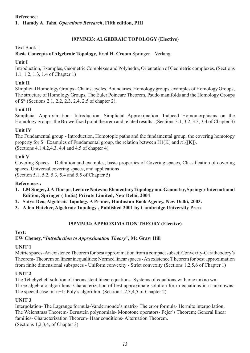### **Reference**:

**1. Hamdy A. Taha***, Operations Research***, Fifth edition, PHI**

# **19PMM33: ALGEBRAIC TOPOLOGY (Elective)**

Text Book :

### **Basic Concepts of Algebraic Topology, Fred H. Croom** Springer – Verlang

### **Unit I**

Introduction, Examples, Geometric Complexes and Polyhedra, Orientation of Geometric complexes. (Sections 1.1, 1.2, 1.3, 1.4 of Chapter 1)

### **Unit II**

SImplicial Homology Groups - Chains, cycles, Boundaries, Homology groups, examples of Homology Groups, The structure of Homology Groups, The Euler Poincare Theorem, Psudo manifolds and the Homology Groups of Sn. (Sections 2.1, 2.2, 2.3, 2.4, 2.5 of chapter 2).

### **Unit III**

Simplicial Approximation- Introduction, Simplicial Approximation, Induced Homomorphisms on the Homology groups, the Browerfixed point theorem and related results . (Sections 3.1, 3.2, 3.3, 3.4 of Chapter 3)

### **Unit IV**

The Fundamental group - Introduction, Homotopic paths and the fundamental group, the covering homotopy property for S<sup>1,</sup> Examples of Fundamental group, the relation between H1(K) and  $\pi$ 1([K]). (Sections 4.1,4.2,4.3, 4.4 and 4.5 of chapter 4)

### **Unit V**

Covering Spaces – Definition and examples, basic properties of Covering spaces, Classification of covering spaces, Universal covering spaces, and applications (Section 5.1, 5.2, 5.3, 5.4 and 5.5 of Chapter 5)

### **References :**

- **1. I.M Singer, J.A Thorpe, Lecture Notes on Elementary Topology and Geometry, Springer International Edition, Springer ( India) Private Limited, New Delhi, 2004**
- **2. Satya Deo, Algebraic Topology A Primer, Hindustan Book Agency, New Delhi, 2003.**
- **3. Allen Hatcher, Algebraic Topology , Published 2001 by Cambridge University Press**

### **19PMM34: APPROXIMATION THEORY (Elective)**

#### **Text:**

### **EW Cheney, "***Introduction to Approximation Theory",* **Mc Graw Hill**

#### **UNIT 1**

Metric spaces- An existence Theorem for best approximation from a compact subset; Convexity-Caratheodory's Theorem- Theorem on linear inequalities; Normed linear spaces - An existence T heorem for best approximation from finite dimensional subspaces - Uniform convexity - Strict convexity (Sections 1,2,5,6 of Chapter 1)

#### **UNIT 2**

The Tchebycheff solution of inconsistent linear equations -Systems of equations with one unkno wn-Three algebraic algorithms; Characterization of best approximate solution for m equations in n unknowns-The special case m=n+1; Poly's algorithm. (Section 1,2,3,4,5 of Chapter 2)

### **UNIT 3**

Interpolation- The Lagrange formula-Vandermonde's matrix- The error formula- Hermite interpo lation; The Weierstrass Theorem- Bernstein polynomials- Monotone operators- Fejer's Theorem; General linear families- Characterization Theorem- Haar conditions- Alternation Theorem. (Sections 1,2,3,4, of Chapter 3)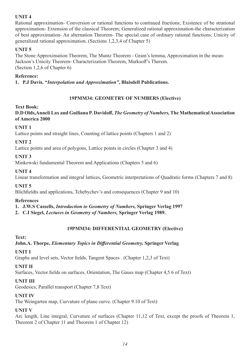# **UNIT 4**

Rational approximation- Conversion or rational functions to continued fractions; Existence of be strational approximation- Extension of the classical Theorem; Generalized rational approximation-the characterization of best approximation- An alternation Theorem- The special case of ordinary rational functions; Unicity of generalized rational approximation. (Sections 1,2,3,4 of Chapter 5)

# **UNIT 5**

The Stone Approximation Theorem, The Muntz Theorem - Gram's lemma, Approximation in the mean-Jackson's Unicity Theorem- Characterization Theorem, Marksoff's Therem. (Section 1,2,6 of Chapter 6)

# **Reference:**

**1. P.J Davis. "***Interpolation and Approximation"***, Blaisdell Publications.**

# **19PMM34: GEOMETRY OF NUMBERS (Elective)**

# **Text Book:**

**D.D Olds,Anneli Lax and Guiliana P. Davidoff,** *The Geometry of Numbers,* **The Mathematical Association of America 2000**

# **UNIT 1**

Lattice points and straight lines, Counting of lattice points (Chapters 1 and 2)

# **UNIT 2**

Lattice points and area of polygons, Lattice points in circles (Chapter 3 and 4)

# **UNIT 3**

Minkowski fundamental Theorem and Applications (Chapters 5 and 6)

# **UNIT 4**

Linear transformation and integral lattices, Geometric interpretations of Quadratic forms (Chapters 7 and 8)

# **UNIT 5**

Blichfieldts and applications, Tchebychev's and consequences (Chapter 9 and 10)

# **References**

**1. J.W.S Cassells,** *Introduction to Geometry of Numbers,* **Springer Verlag 1997**

**2. C.I Siegel,** *Lectures in Geometry of Numbers,* **Springer Verlag 1989.**

# **19PMM34: DIFFERENTIAL GEOMETRY (Elective)**

# **Text:**

# **John.A. Thorpe,** *Elementary Topics in Differential Geometry,* **Springer Verlag**

# **UNIT I**

Graphs and level sets, Vector fields, Tangent Spaces . (Chapter 1,2,3 of Text)

# **UNIT II**

Surfaces, Vector fields on surfaces, Orientation, The Gauss map (Chapter 4,5 6 of Text)

# **UNIT III**

Geodesics, Parallel transport (Chapter 7,8 Text)

# **UNIT IV**

The Weingarten map, Curvature of plane curve. (Chapter 9.10 of Text)

# **UNIT V**

Arc length, Line integral, Curvature of surfaces (Chapter 11,12 of Text, except the proofs of Theorem 1, Theorem 2 of Chapter 11 and Theorem 1 of Chapter 12)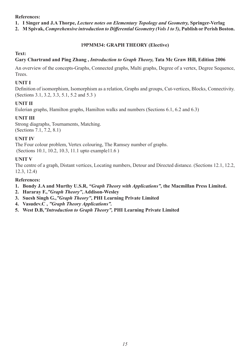### **References:**

**1. I Singer and J.A Thorpe,** *Lecture notes on Elementary Topology and Geometry,* **Springer-Verlag**

**2. M Spivak,** *Comprehensive introduction to Differential Geometry (Vols 1 to 5),* **Publish or Perish Boston.**

# **19PMM34: GRAPH THEORY (Elective)**

### **Text:**

# **Gary Chartrand and Ping Zhang ,** *Introduction to Graph Theory,* **Tata Mc Graw Hill, Edition 2006**

An overview of the concepts-Graphs, Connected graphs, Multi graphs, Degree of a vertex, Degree Sequence, Trees.

### **UNIT I**

Definition of isomorphism, Isomorphism as a relation, Graphs and groups, Cut-vertices, Blocks, Connectivity. (Sections 3.1, 3.2, 3.3, 5.1, 5.2 and 5.3 )

### **UNIT II**

Eulerian graphs, Hamilton graphs, Hamilton walks and numbers (Sections 6.1, 6.2 and 6.3)

# **UNIT III**

Strong diagraphs, Tournaments, Matching. (Sections 7.1, 7.2, 8.1)

### **UNIT IV**

The Four colour problem, Vertex colouring, The Ramsey number of graphs. (Sections 10.1, 10.2, 10.3, 11.1 upto example11.6 )

### **UNIT V**

The centre of a graph, Distant vertices, Locating numbers, Detour and Directed distance. (Sections 12.1, 12.2, 12.3, 12.4)

### **References:**

- **1. Bondy J.A and Murthy U.S.R,** *"Graph Theory with Applications",* **the Macmillan Press Limited.**
- **2. Hararay F.,***"Graph Theory"***, Addison-Wesley**
- **3. Suesh Singh G.,***"Graph Theory"***, PHI Learning Private Limited**
- **4. Vasudev.C ,** *"Graph Theory Applications".*
- **5. West D.B,***"Introduction to Graph Theory",* **PHI Learning Private Limited**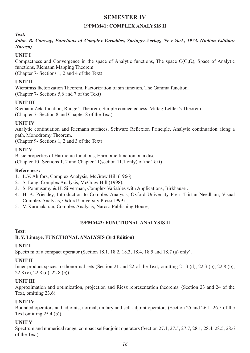# **SEMESTER IV**

### **19PMM41: COMPLEX ANALYSIS II**

*Text:* 

*John. B. Conway, Functions of Complex Variables, Springer-Verlag, New York, 1973. (Indian Edition: Narosa)*

# **UNIT I**

Compactness and Convergence in the space of Analytic functions, The space  $C(G,\Omega)$ , Space of Analytic functions, Riemann Mapping Theorem.

(Chapter 7- Sections 1, 2 and 4 of the Text)

# **UNIT II**

Wierstrass factorization Theorem, Factorization of sin function, The Gamma function. (Chapter 7- Sections 5,6 and 7 of the Text)

# **UNIT III**

Riemann Zeta function, Runge's Theorem, Simple connectedness, Mittag-Leffler's Theorem. (Chapter 7- Section 8 and Chapter 8 of the Text)

# **UNIT IV**

Analytic continuation and Riemann surfaces, Schwarz Reflexion Principle, Analytic continuation along a path, Monodromy Theorem.

(Chapter 9- Sections 1, 2 and 3 of the Text)

# **UNIT V**

Basic properties of Harmonic functions, Harmonic function on a disc (Chapter 10- Sections 1, 2 and Chapter 11(section 11.1 only) of the Text)

# **References:**

- 1. L.V. Ahlfors, Complex Analysis, McGraw Hill (1966)
- 2. S. Lang, Complex Analysis, McGraw Hill (1998).
- 3. S. Ponnusamy & H. Silverman, Complex Variables with Applications, Birkhauser.
- 4. H. A. Priestley, Introduction to Complex Analysis, Oxford University Press Tristan Needham, Visual Complex Analysis, Oxford University Press(1999)
- 5. V. Karunakaran, Complex Analysis, Narosa Publishing House,

### **19PMM42: FUNCTIONAL ANALYSIS II**

### **Text**:

# **B. V. Limaye, FUNCTIONAL ANALYSIS (3rd Edition)**

# **UNIT I**

Spectrum of a compact operator (Section 18.1, 18.2, 18.3, 18.4, 18.5 and 18.7 (a) only).

# **UNIT II**

Inner product spaces, orthonormal sets (Section 21 and 22 of the Text, omitting 21.3 (d), 22.3 (b), 22.8 (b), 22.8 (c), 22.8 (d), 22.8 (e)).

# **UNIT III**

Approximation and optimization, projection and Riesz representation theorems. (Section 23 and 24 of the Text, omitting 23.6).

# **UNIT IV**

Bounded operators and adjoints, normal, unitary and self-adjoint operators (Section 25 and 26.1, 26.5 of the Text omitting 25.4 (b)).

# **UNIT V**

Spectrum and numerical range, compact self-adjoint operators (Section 27.1, 27.5, 27.7, 28.1, 28.4, 28.5, 28.6 of the Text).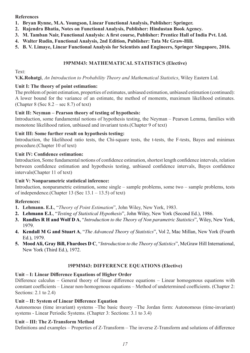# **References**

- **1. Bryan Rynne, M.A. Youngson, Linear Functional Analysis, Publisher: Springer.**
- **2. Rajendra Bhatia, Notes on Functional Analysis, Publisher: Hindustan Book Agency.**
- **3. M. Tamban Nair, Functional Analysis: A first course, Publisher: Prentice Hall of India Pvt. Ltd.**
- **4. Walter Rudin, Functional Analysis, 2nd Edition, Publisher: Tata Mc Graw-Hill.**
- **5. B. V. Limaye, Linear Functional Analysis for Scientists and Engineers, Springer Singapore, 2016.**

# **19PMM43: MATHEMATICAL STATISTICS (Elective)**

Text:

**V.K.Rohatgi**, *An Introduction to Probability Theory and Mathematical Statistics*, Wiley Eastern Ltd.

### **Unit I: The theory of point estimation:**

The problem of point estimation, properties of estimates, unbiased estimation, unbiased estimation (continued): A lower bound for the variance of an estimate, the method of moments, maximum likelihood estimates. (Chapter  $8$  (Sec  $8.2$  – sec  $8.7$ ) of text)

# **Unit II: Neyman – Pearson theory of testing of hypothesis:**

Introduction, some fundamental notions of hypothesis testing, the Neyman – Pearson Lemma, families with monotone likelihood ration, unbiased and invariant tests.(Chapter 9 of text)

# **Unit III: Some further result on hypothesis testing:**

Introduction, the likelihood ratio tests, the Chi-square tests, the t-tests, the F-tests, Bayes and minimax procedure.(Chapter 10 of text)

# **Unit IV: Confidence estimation:**

Introduction, Some fundamental notions of confidence estimation, shortest length confidence intervals, relation between confidence estimation and hypothesis testing, unbiased confidence intervals, Bayes confidence intervals(Chapter 11 of text)

# **Unit V: Nonparametric statistical inference:**

Introduction, nonparametric estimation, some single – sample problems, some two – sample problems, tests of independence.(Chapter 13 (Sec  $13.1 - 13.5$ ) of text)

# **References:**

- **1. Lehmann. E.L**, "*Theory of Point Estimation*", John Wiley, New York, 1983.
- **2. Lehmann E.L**, "*Testing of Statistical Hypothesis*", John Wiley, New York (Second Ed.), 1986.
- **3. Randles R H and Wolf D A**, "*Introduction to the Theory of Non parametric Statistics*", Wiley, New York, 1979.
- **4. Kendall M G and Stuart A**, "*The Advanced Theory of Statistics*", Vol 2, Mac Millan, New York (Fourth Ed.), 1979.
- **5. Mood Ali, Gray Bill, Fhardoes D C**, "*Introduction to the Theory of Satistics*", McGraw Hill International, New York (Third Ed.), 1972.

# **19PMM43: DIFFERENCE EQUATIONS (Elective)**

# **Unit – I: Linear Difference Equations of Higher Order**

Difference calculus – General theory of linear difference equations – Linear homogenous equations with constant coefficients – Linear non-homogenous equations – Method of undetermined coefficients. (Chapter 2: Sections: 2.1 to 2.4)

# **Unit – II: System of Linear Difference Equation**

Autonomous (time invariant) systems –The basic theory –The Jordan form: Autonomous (time-invariant) systems - Linear Periodic Systems. (Chapter 3: Sections: 3.1 to 3.4)

# **Unit – III: The Z-Transform Method**

Definitions and examples – Properties of Z-Transform – The inverse Z-Transform and solutions of difference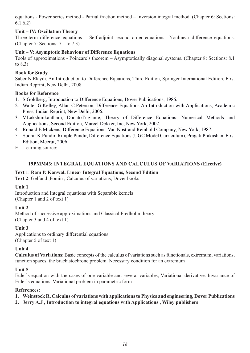equations - Power series method - Partial fraction method – Inversion integral method. (Chapter 6: Sections: 6.1,6.2)

# **Unit – IV: Oscillation Theory**

Three-term difference equations – Self-adjoint second order equations –Nonlinear difference equations. (Chapter 7: Sections: 7.1 to 7.3)

### **Unit – V: Asymptotic Behaviour of Difference Equations**

Tools of approximations - Poincare's theorem – Asymptotically diagonal systems. (Chapter 8: Sections: 8.1 to 8.3)

### **Book for Study**

Saber N.Elaydi, An Introduction to Difference Equations, Third Edition, Springer International Edition, First Indian Reprint, New Delhi, 2008.

### **Books for Reference**

- 1. S.Goldberg, Introduction to Difference Equations, Dover Publications, 1986.
- 2. Walter G.Kelley, Allan C.Peterson, Difference Equations An Introduction with Applications, Academic Press, Indian Reprint, New Delhi, 2006.
- 3. V.Lakshmikantham, DonatoTrigiante, Theory of Difference Equations: Numerical Methods and Applications, Second Edition, Marcel Dekker, Inc, New York, 2002.
- 4. Ronald E.Mickens, Difference Equations, Van Nostrand Reinhold Company, New York, 1987.
- 5. Sudhir K.Pundir, Rimple Pundir, Difference Equations (UGC Model Curriculum), Pragati Prakashan, First Edition, Meerut, 2006.
- E Learning source:

# **19PMM43: INTEGRAL EQUATIONS AND CALCULUS OF VARIATIONS (Elective)**

### **Text 1**: **Ram P. Kanwal, Linear Integral Equations, Second Edition**

**Text 2**: Gelfand ,Fomin , Calculus of variations, Dover books

### **Unit 1**

Introduction and Integral equations with Separable kernels (Chapter 1 and 2 of text 1)

### **Unit 2**

Method of successive approximations and Classical Fredholm theory (Chapter 3 and 4 of text 1)

### **Unit 3**

Applications to ordinary differential equations (Chapter 5 of text 1)

### **Unit 4**

**Calculus of Variations**: Basic concepts of the calculus of variations such as functionals, extremum, variations, function spaces, the brachistochrone problem. Necessary condition for an extremum

### **Unit 5**

Euler`s equation with the cases of one variable and several variables, Variational derivative. Invariance of Euler`s equations. Variational problem in parametric form

### **References:**

- **1. Weinstock R, Calculus of variations with applications to Physics and engineering, Dover Publications**
- **2. Jerry A.J , Introduction to integral equations with Applications , Wiley publishers**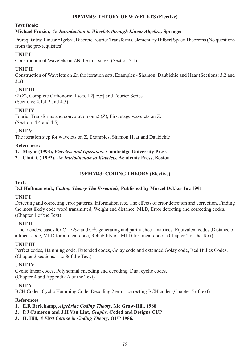## **19PMM43: THEORY OF WAVELETS (Elective)**

# **Text Book:**

# **Michael Frazier,** *An Introduction to Wavelets through Linear Algebra,* **Springer**

Prerequisites: Linear Algebra, Discrete Fourier Transforms, elementary Hilbert Space Theorems (No questions from the pre-requisites)

# **UNIT I**

Construction of Wavelets on ZN the first stage. (Section 3.1)

# **UNIT II**

Construction of Wavelets on Zn the iteration sets, Examples - Shamon, Daubiehie and Haar (Sections: 3.2 and 3.3)

# **UNIT III**

ι2 (Z), Complete Orthonormal sets, L2[-π,π] and Fourier Series. (Sections: 4.1,4.2 and 4.3)

# **UNIT IV**

Fourier Transforms and convolution on ι2 (Z), First stage wavelets on Z. (Section: 4.4 and 4.5)

**UNIT V**

The iteration step for wavelets on Z, Examples, Shamon Haar and Daubiehie

# **References:**

**1. Mayor (1993),** *Wavelets and Operators,* **Cambridge University Press** 

**2. Chui. C( 1992),** *An Intrioduction to Wavelets,* **Academic Press, Boston**

# **19PMM43: CODING THEORY (Elective)**

### **Text:**

# **D.J Hoffman etal.,** *Coding Theory The Essentials,* **Published by Marcel Dekker Inc 1991**

### **UNIT I**

Detecting and correcting error patterns, Information rate, The effects of error detection and correction, Finding the most likely code word transmitted, Weight and distance, MLD, Error detecting and correcting codes. (Chapter 1 of the Text)

### **UNIT II**

Linear codes, bases for  $C = \leq S$  and  $C^{\perp}$ , generating and parity check matrices, Equivalent codes ,Distance of a linear code, MLD for a linear code, Reliability of IMLD for linear codes. (Chapter 2 of the Text)

# **UNIT III**

Perfect codes, Hamming code, Extended codes, Golay code and extended Golay code, Red Hulles Codes. (Chapter 3 sections: 1 to 8of the Text)

# **UNIT IV**

Cyclic linear codes, Polynomial encoding and decoding, Dual cyclic codes. (Chapter 4 and Appendix A of the Text)

### **UNIT V**

BCH Codes, Cyclic Hamming Code, Decoding 2 error correcting BCH codes (Chapter 5 of text)

# **References**

**1. E.R Berlekamp,** *Algebriac Coding Theory,* **Mc Graw-Hill, 1968**

- **2. P.J Cameron and J.H Van Lint,** *Graphs,* **Coded and Designs CUP**
- **3. H. Hill,** *A First Course in Coding Theory,* **OUP 1986.**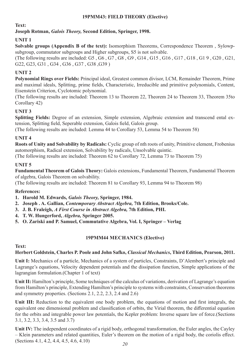# **19PMM43: FIELD THEORY (Elective)**

## **Text:**

# **Joseph Rotman,** *Galois Theory,* **Second Edition, Springer, 1998.**

# **UNIT 1**

**Solvable groups (Appendix B of the text):** Isomorphism Theorems, Correspondence Theorem , Sylowpsubgroup, commutator subgroups and Higher subgroups, S5 is not solvable.

(The following results are included: G5 , G6 , G7 , G8 , G9 , G14 , G15 , G16 , G17 , G18 , G1 9 , G20 , G21, G22, G23, G31 , G34 , G36 , G37 , G38 ,G39 )

# **UNIT 2**

**Polynomial Rings over Fields:** Principal ideal, Greatest common divisor, LCM, Remainder Theorem, Prime and maximal ideals, Splitting, prime fields, Characteristic, Irreducible and primitive polynomials, Content, Eisenstein Criterion, Cyclotomic polynomial.

(The following results are included: Theorem 13 to Theorem 22, Theorem 24 to Theorem 33, Theorem 35to Corollary 42)

# **UNIT 3**

**Splitting Fields:** Degree of an extension, Simple extension, Algebraic extension and transcend ental extension, Splitting field, Seperable extension, Galois field, Galois group.

(The following results are included: Lemma 44 to Corollary 53, Lemma 54 to Theorem 58)

# **UNIT 4**

**Roots of Unity and Solvability by Radicals:** Cyclic group of nth roots of unity, Primitive element, Frobenius automorphism, Radical extension, Solvability by radicals, Unsolvable quintic.

(The following results are included: Theorem 62 to Corollary 72, Lemma 73 to Theorem 75)

# **UNIT 5**

**Fundamental Theorem of Galois Theory:** Galois extensions, Fundamental Theorem, Fundamental Theorem of algebra, Galois Theorem on solvability.

(The following results are included: Theorem 81 to Corollary 93, Lemma 94 to Theorem 98)

# **References:**

- **1. Harold M. Edwards,** *Galois Theory,* **Springer, 1984.**
- **2. Joseph . A. Gallian,** *Contemporary Abstract Algebra,* **7th Edition, Brooks/Cole.**
- **3. J. B. Fraleigh,** *A First Course in Abstract Algebra,* **7th Edition, PHI.**
- **4. T. W. Hungerford,** *Algebra,* **Springer 2005.**
- **5. O. Zariski and P. Samuel, Commutative Algebra, Vol. I, Springer Verlag**

### **19PMM44 MECHANICS (Elective)**

### **Text:**

### **Herbert Goldstein, Charles P. Poole and John Safko,** *Classical Mechanics***, Third Edition, Pearson, 2011.**

**Unit I:** Mechanics of a particle, Mechanics of a system of particles, Constraints, D'Alembert's principle and Lagrange's equations, Velocity dependent potentials and the dissipation function, Simple applications of the lagrangian formulation.(Chapter 1 of text)

**Unit II:** Hamilton's principle, Some techniques of the calculus of variations, derivation of Lagrange's equation from Hamilton's principle, Extending Hamilton's principle to systems with constraints, Conservation theorems and symmetry properties. (Sections 2.1, 2.2, 2.3, 2.4 and 2.6)

Unit III: Reduction to the equivalent one body problem, the equations of motion and first integrals, the equivalent one dimensional problem and classification of orbits, the Virial theorem, the differential equation for the orbits and integrable power law potentials, the Kepler problem: Inverse square law of force.(Sections 3.1, 3.2, 3.3, 3.4, 3.5 and 3.7)

**Unit IV:** The independent coordinates of a rigid body, orthogonal transformation, the Euler angles, the Cayley – Klein parameters and related quantities, Euler's theorem on the motion of a rigid body, the coriolis effect. (Sections 4.1, 4.2, 4.4, 4.5, 4.6, 4.10)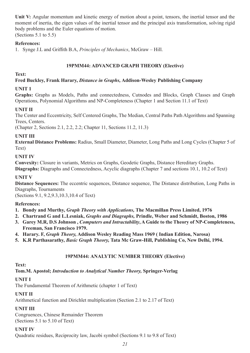Unit V: Angular momentum and kinetic energy of motion about a point, tensors, the inertial tensor and the moment of inertia, the eigen values of the inertial tensor and the principal axis transformation, solving rigid body problems and the Euler equations of motion. (Sections 5.1 to 5.5)

# **References:**

1. Synge J.L and Griffith B.A, *Principles of Mechanics*, McGraw – Hill.

# **19PMM44: ADVANCED GRAPH THEORY (Elective)**

### **Text:**

# **Fred Buckley, Frank Harary,** *Distance in Graphs,* **Addison-Wesley Publishing Company**

# **UNIT 1**

**Graphs:** Graphs as Models, Paths and connectedness, Cutnodes and Blocks, Graph Classes and Graph Operations, Polynomial Algorithms and NP-Completeness (Chapter 1 and Section 11.1 of Text)

# **UNIT II**

The Center and Eccentricity, Self Centered Graphs, The Median, Central Paths Path Algorithms and Spanning Trees, Centers.

(Chapter 2, Sections 2.1, 2.2, 2.2; Chapter 11, Sections 11.2, 11.3)

# **UNIT III**

**External Distance Problems:** Radius, Small Diameter, Diameter, Long Paths and Long Cycles (Chapter 5 of Text)

### **UNIT IV**

**Convexity:** Closure in variants, Metrics on Graphs, Geodetic Graphs, Distance Hereditary Graphs.

**Diagraphs:** Diagraphs and Connectedness, Acyclic diagraphs (Chapter 7 and sections 10.1, 10.2 of Text)

# **UNIT V**

**Distance Sequences:** The eccentric sequences, Distance sequence, The Distance distribution, Long Paths in Diagraphs, Tournaments

(Sections 9.1, 9.2,9.3,10.3,10.4 of Text)

# **References:**

- **1. Bondy and Murthy,** *Graph Theory with Applications,* **The Macmillan Press Limited, 1976**
- **2. Chartrand G and L.Lesniak,** *Graphs and Diagraphs,* **Prindle, Weber and Schmidt, Boston, 1986**
- **3. Garey M.R, D.S Johnson ,** *Computers and Intractability***, A Guide to the Theory of NP-Completeness, Freeman, San Francisco 1979.**
- **4. Harary. F,** *Graph Theory,* **Addison Wesley Reading Mass 1969 ( Indian Edition, Narosa)**
- **5. K.R Parthasarathy,** *Basic Graph Theory,* **Tata Mc Graw-Hill, Publishing Co, New Delhi, 1994.**

# **19PMM44: ANALYTIC NUMBER THEORY (Elective)**

**Text:** 

**Tom.M. Apostol;** *Introduction to Analytical Number Theory,* **Springer-Verlag**

# **UNIT I**

The Fundamental Theorem of Arithmetic (chapter 1 of Text)

# **UNIT II**

Arithmetical function and Dirichlet multiplication (Section 2.1 to 2.17 of Text)

# **UNIT III**

Congruences, Chinese Remainder Theorem (Sections 5.1 to 5.10 of Text)

# **UNIT IV**

Quadratic residues, Reciprocity law, Jacobi symbol (Sections 9.1 to 9.8 of Text)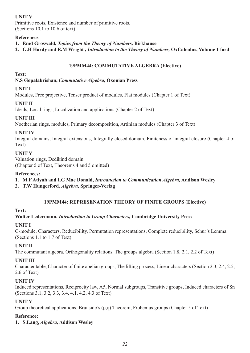# **UNIT V**

Primitive roots, Existence and number of primitive roots. (Sections 10.1 to 10.6 of text)

### **References**

- **1. Emd Groswald,** *Topics from the Theory of Numbers,* **Birkhause**
- **2. G.H Hardy and E.M Wright ,** *Introduction to the Theory of Numbers,* **OxCalculus, Volume 1 ford**

### **19PMM44: COMMUTATIVE ALGEBRA (Elective)**

#### **Text:**

### **N.S Gopalakrishan,** *Commutative Algebra,* **Oxonian Press**

### **UNIT I**

Modules, Free projective, Tenser product of modules, Flat modules (Chapter 1 of Text)

### **UNIT II**

Ideals, Local rings, Localization and applications (Chapter 2 of Text)

# **UNIT III**

Noetherian rings, modules, Primary decomposition, Artinian modules (Chapter 3 of Text)

### **UNIT IV**

Integral domains, Integral extensions, Integrally closed domain, Finiteness of integral closure (Chapter 4 of Text)

### **UNIT V**

Valuation rings, Dedikind domain (Chapter 5 of Text, Theorems 4 and 5 omitted)

### **References:**

- **1. M.F Atiyah and I.G Mac Donald,** *Introduction to Communication Algebra,* **Addison Wesley**
- **2. T.W Hungerford,** *Algebra,* **Springer-Verlag**

#### **19PMM44: REPRESENATION THEORY OF FINITE GROUPS (Elective)**

#### **Text:**

### **Walter Ledermann,** *Introduction to Group Characters,* **Cambridge University Press**

#### **UNIT I**

G-module, Characters, Reducibility, Permutation representations, Complete reducibility, Schur's Lemma (Sections 1.1 to 1.7 of Text)

### **UNIT II**

The commutant algebra, Orthogonality relations, The groups algebra (Section 1.8, 2.1, 2.2 of Text)

#### **UNIT III**

Character table, Character of finite abelian groups, The lifting process, Linear characters (Section 2.3, 2.4, 2.5, 2.6 of Text)

### **UNIT IV**

Induced representations, Reciprocity law, A5, Normal subgroups, Transitive groups, Induced characters of Sn (Sections 3.1, 3.2, 3.3, 3.4, 4.1, 4.2, 4.3 of Text)

### **UNIT V**

Group theoretical applications, Brunside's (p,q) Theorem, Frobenius groups (Chapter 5 of Text)

#### **Reference:**

**1. S.Lang,** *Algebra,* **Addison Wesley**